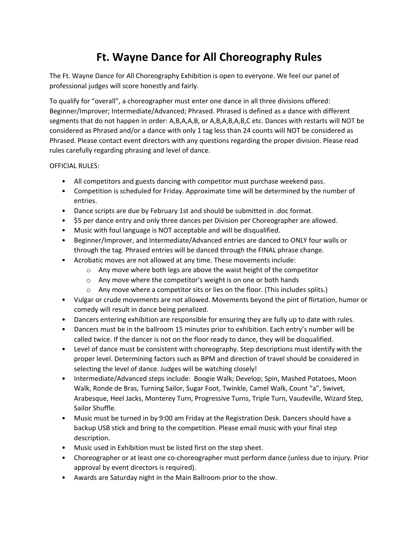## **Ft. Wayne Dance for All Choreography Rules**

The Ft. Wayne Dance for All Choreography Exhibition is open to everyone. We feel our panel of professional judges will score honestly and fairly.

To qualify for "overall", a choreographer must enter one dance in all three divisions offered: Beginner/Improver; Intermediate/Advanced; Phrased. Phrased is defined as a dance with different segments that do not happen in order: A,B,A,A,B, or A,B,A,B,A,B,C etc. Dances with restarts will NOT be considered as Phrased and/or a dance with only 1 tag less than 24 counts will NOT be considered as Phrased. Please contact event directors with any questions regarding the proper division. Please read rules carefully regarding phrasing and level of dance.

## OFFICIAL RULES:

- All competitors and guests dancing with competitor must purchase weekend pass.
- Competition is scheduled for Friday. Approximate time will be determined by the number of entries.
- Dance scripts are due by February 1st and should be submitted in .doc format.
- \$5 per dance entry and only three dances per Division per Choreographer are allowed.
- Music with foul language is NOT acceptable and will be disqualified.
- Beginner/Improver, and Intermediate/Advanced entries are danced to ONLY four walls or through the tag. Phrased entries will be danced through the FINAL phrase change.
- Acrobatic moves are not allowed at any time. These movements include:
	- o Any move where both legs are above the waist height of the competitor
	- o Any move where the competitor's weight is on one or both hands
	- $\circ$  Any move where a competitor sits or lies on the floor. (This includes splits.)
- Vulgar or crude movements are not allowed. Movements beyond the pint of flirtation, humor or comedy will result in dance being penalized.
- Dancers entering exhibition are responsible for ensuring they are fully up to date with rules.
- Dancers must be in the ballroom 15 minutes prior to exhibition. Each entry's number will be called twice. If the dancer is not on the floor ready to dance, they will be disqualified.
- Level of dance must be consistent with choreography. Step descriptions must identify with the proper level. Determining factors such as BPM and direction of travel should be considered in selecting the level of dance. Judges will be watching closely!
- Intermediate/Advanced steps include: Boogie Walk; Develop; Spin, Mashed Potatoes, Moon Walk, Ronde de Bras, Turning Sailor, Sugar Foot, Twinkle, Camel Walk, Count "a", Swivet, Arabesque, Heel Jacks, Monterey Turn, Progressive Turns, Triple Turn, Vaudeville, Wizard Step, Sailor Shuffle.
- Music must be turned in by 9:00 am Friday at the Registration Desk. Dancers should have a backup USB stick and bring to the competition. Please email music with your final step description.
- Music used in Exhibition must be listed first on the step sheet.
- Choreographer or at least one co-choreographer must perform dance (unless due to injury. Prior approval by event directors is required).
- Awards are Saturday night in the Main Ballroom prior to the show.